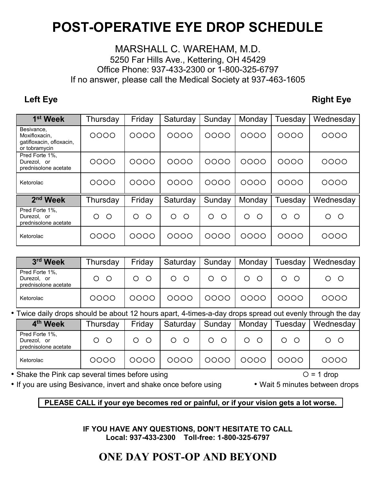## **POST-OPERATIVE EYE DROP SCHEDULE**

## MARSHALL C. WAREHAM, M.D. 5250 Far Hills Ave., Kettering, OH 45429 Office Phone: 937-433-2300 or 1-800-325-6797 If no answer, please call the Medical Society at 937-463-1605

**Left Eye** Right Eye

| 1 <sup>st</sup> Week                                                     | Thursday     | Friday          | Saturday | Sunday | Monday | Tuesday | Wednesday    |
|--------------------------------------------------------------------------|--------------|-----------------|----------|--------|--------|---------|--------------|
| Besivance,<br>Moxifloxacin.<br>gatifloxacin, ofloxacin,<br>or tobramycin | 0000         | 0000            | 0000     | 0000   | 0000   | 0000    | 0000         |
| Pred Forte 1%.<br>Durezol, or<br>prednisolone acetate                    | 0000         | 0000            | 0000     | 0000   | 0000   | 0000    | 0000         |
| Ketorolac                                                                | 0000         | 0000            | 0000     | 0000   | 0000   | 0000    | 0000         |
| 2 <sup>nd</sup> Week                                                     | Thursday     | Friday          | Saturday | Sunday | Monday | Tuesday | Wednesday    |
| Pred Forte 1%,<br>Durezol, or<br>prednisolone acetate                    | O<br>$\circ$ | O<br>$\bigcirc$ | ∩<br>◯   | O<br>∩ | ◯<br>◯ | ∩<br>◯  | O<br>$\circ$ |
| Ketorolac                                                                | 0000         | 0000            | 0000     | 0000   | 0000   | 0000    | 0000         |

| 3rd Week                                              | Thursday | Friday | Saturday |   | Sunday   Monday | Tuesday | Wednesday |
|-------------------------------------------------------|----------|--------|----------|---|-----------------|---------|-----------|
| Pred Forte 1%.<br>Durezol, or<br>prednisolone acetate | $\circ$  |        |          | O |                 |         |           |
| Ketorolac                                             | OOOC     |        |          |   |                 | 0000    | 0000      |

• Twice daily drops should be about 12 hours apart, 4-times-a-day drops spread out evenly through the day

| 4 <sup>th</sup> Week                                  | Thursday | Friday | Saturday | Sunday | Monday | Tuesday | Wednesday |
|-------------------------------------------------------|----------|--------|----------|--------|--------|---------|-----------|
| Pred Forte 1%,<br>Durezol, or<br>prednisolone acetate |          |        |          |        |        |         |           |
| Ketorolac                                             | 0000     |        | OOOC     |        | OOOC   | 0000    | 0000      |

• Shake the Pink cap several times before using  $O = 1$  drop

• If you are using Besivance, invert and shake once before using• Wait 5 minutes between drops

**PLEASE CALL if your eye becomes red or painful, or if your vision gets a lot worse.** 

**IF YOU HAVE ANY QUESTIONS, DON'T HESITATE TO CALL Local: 937-433-2300 Toll-free: 1-800-325-6797** 

## **ONE DAY POST-OP AND BEYOND**